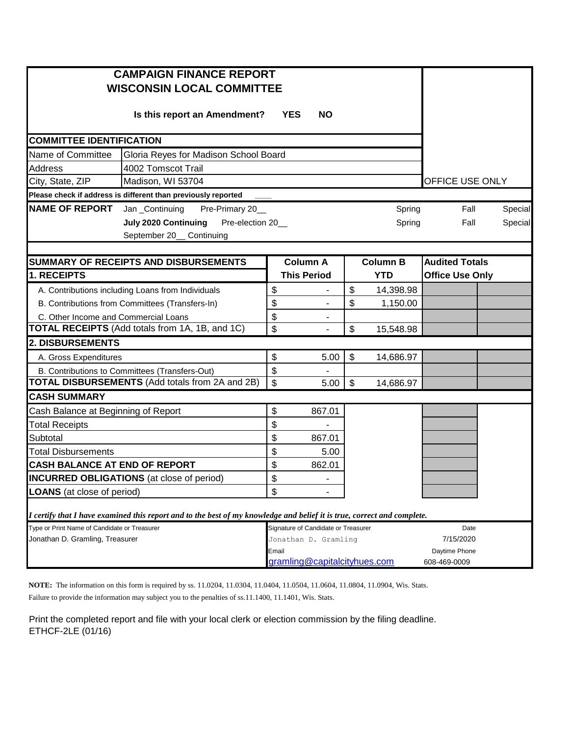| <b>CAMPAIGN FINANCE REPORT</b><br><b>WISCONSIN LOCAL COMMITTEE</b> |                                                                                                                         |                      |                                     |    |                 |                        |                        |  |  |
|--------------------------------------------------------------------|-------------------------------------------------------------------------------------------------------------------------|----------------------|-------------------------------------|----|-----------------|------------------------|------------------------|--|--|
|                                                                    |                                                                                                                         |                      |                                     |    |                 |                        |                        |  |  |
| <b>COMMITTEE IDENTIFICATION</b>                                    |                                                                                                                         |                      |                                     |    |                 |                        |                        |  |  |
| Name of Committee                                                  | Gloria Reyes for Madison School Board                                                                                   |                      |                                     |    |                 |                        |                        |  |  |
| <b>Address</b>                                                     | 4002 Tomscot Trail                                                                                                      |                      |                                     |    |                 |                        |                        |  |  |
| Madison, WI 53704<br>City, State, ZIP                              |                                                                                                                         |                      |                                     |    |                 |                        | <b>OFFICE USE ONLY</b> |  |  |
|                                                                    | Please check if address is different than previously reported                                                           |                      |                                     |    |                 |                        |                        |  |  |
| <b>NAME OF REPORT</b><br>Jan _Continuing<br>Pre-Primary 20_        |                                                                                                                         |                      |                                     |    | Spring          | Fall                   | Special                |  |  |
|                                                                    | <b>July 2020 Continuing</b><br>Pre-election 20_                                                                         |                      | Spring                              |    |                 | Fall                   | Special                |  |  |
|                                                                    |                                                                                                                         |                      |                                     |    |                 |                        |                        |  |  |
|                                                                    |                                                                                                                         |                      |                                     |    |                 |                        |                        |  |  |
| <b>SUMMARY OF RECEIPTS AND DISBURSEMENTS</b>                       |                                                                                                                         |                      | <b>Column A</b>                     |    | <b>Column B</b> | <b>Audited Totals</b>  |                        |  |  |
| 1. RECEIPTS                                                        |                                                                                                                         |                      | <b>This Period</b>                  |    | <b>YTD</b>      | <b>Office Use Only</b> |                        |  |  |
| A. Contributions including Loans from Individuals                  |                                                                                                                         | \$                   | $\overline{\phantom{a}}$            | \$ | 14,398.98       |                        |                        |  |  |
| B. Contributions from Committees (Transfers-In)                    |                                                                                                                         | \$                   |                                     | \$ | 1,150.00        |                        |                        |  |  |
| C. Other Income and Commercial Loans                               |                                                                                                                         | \$                   |                                     |    |                 |                        |                        |  |  |
| TOTAL RECEIPTS (Add totals from 1A, 1B, and 1C)                    |                                                                                                                         | \$                   |                                     | \$ | 15,548.98       |                        |                        |  |  |
| 2. DISBURSEMENTS                                                   |                                                                                                                         |                      |                                     |    |                 |                        |                        |  |  |
| A. Gross Expenditures                                              |                                                                                                                         | \$                   | 5.00                                | \$ | 14,686.97       |                        |                        |  |  |
| B. Contributions to Committees (Transfers-Out)                     |                                                                                                                         | \$                   |                                     |    |                 |                        |                        |  |  |
| <b>TOTAL DISBURSEMENTS (Add totals from 2A and 2B)</b>             |                                                                                                                         | \$                   | 5.00                                | \$ | 14,686.97       |                        |                        |  |  |
| <b>CASH SUMMARY</b>                                                |                                                                                                                         |                      |                                     |    |                 |                        |                        |  |  |
| Cash Balance at Beginning of Report                                |                                                                                                                         | \$                   | 867.01                              |    |                 |                        |                        |  |  |
| <b>Total Receipts</b>                                              |                                                                                                                         | \$                   |                                     |    |                 |                        |                        |  |  |
| Subtotal                                                           |                                                                                                                         | \$                   | 867.01                              |    |                 |                        |                        |  |  |
| <b>Total Disbursements</b>                                         |                                                                                                                         | \$                   | 5.00                                |    |                 |                        |                        |  |  |
| <b>CASH BALANCE AT END OF REPORT</b>                               |                                                                                                                         | \$                   | 862.01                              |    |                 |                        |                        |  |  |
| <b>INCURRED OBLIGATIONS</b> (at close of period)                   |                                                                                                                         | \$                   |                                     |    |                 |                        |                        |  |  |
| <b>LOANS</b> (at close of period)                                  |                                                                                                                         |                      |                                     |    |                 |                        |                        |  |  |
|                                                                    | I certify that I have examined this report and to the best of my knowledge and belief it is true, correct and complete. |                      |                                     |    |                 |                        |                        |  |  |
| Type or Print Name of Candidate or Treasurer                       |                                                                                                                         |                      | Signature of Candidate or Treasurer |    |                 | Date                   |                        |  |  |
| Jonathan D. Gramling, Treasurer                                    |                                                                                                                         | Jonathan D. Gramling |                                     |    |                 | 7/15/2020              |                        |  |  |
|                                                                    |                                                                                                                         |                      | Email                               |    | Daytime Phone   |                        |                        |  |  |
|                                                                    | gramling@capitalcityhues.com                                                                                            |                      |                                     |    | 608-469-0009    |                        |                        |  |  |

**NOTE:** The information on this form is required by ss. 11.0204, 11.0304, 11.0404, 11.0504, 11.0604, 11.0804, 11.0904, Wis. Stats. Failure to provide the information may subject you to the penalties of ss.11.1400, 11.1401, Wis. Stats.

Print the completed report and file with your local clerk or election commission by the filing deadline. ETHCF-2LE (01/16)